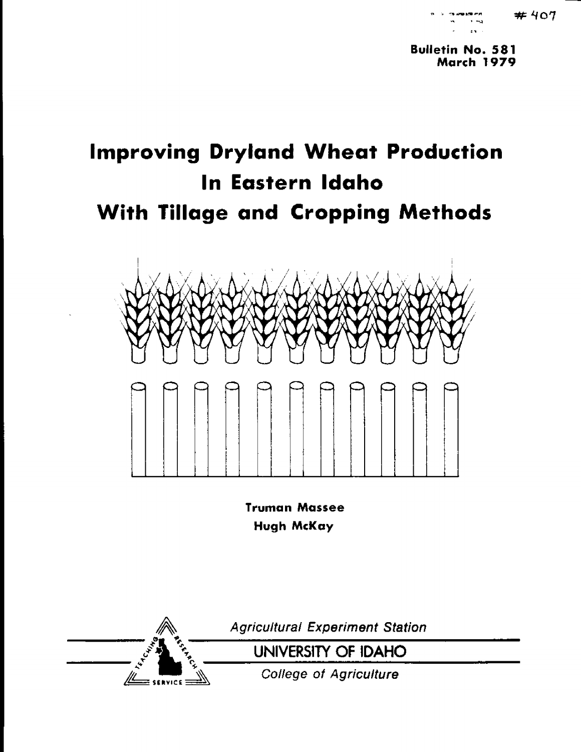**Bulletin Na. 581 March 1979**

## **Improving Dryland Wheat Production In Eastern Idaho With Tillage and Cropping Methods**



**Truman Massee Hugh McKay**



Agricultural Experiment Station

UNIVERSITY OF IDAHO

College *of* Agriculture